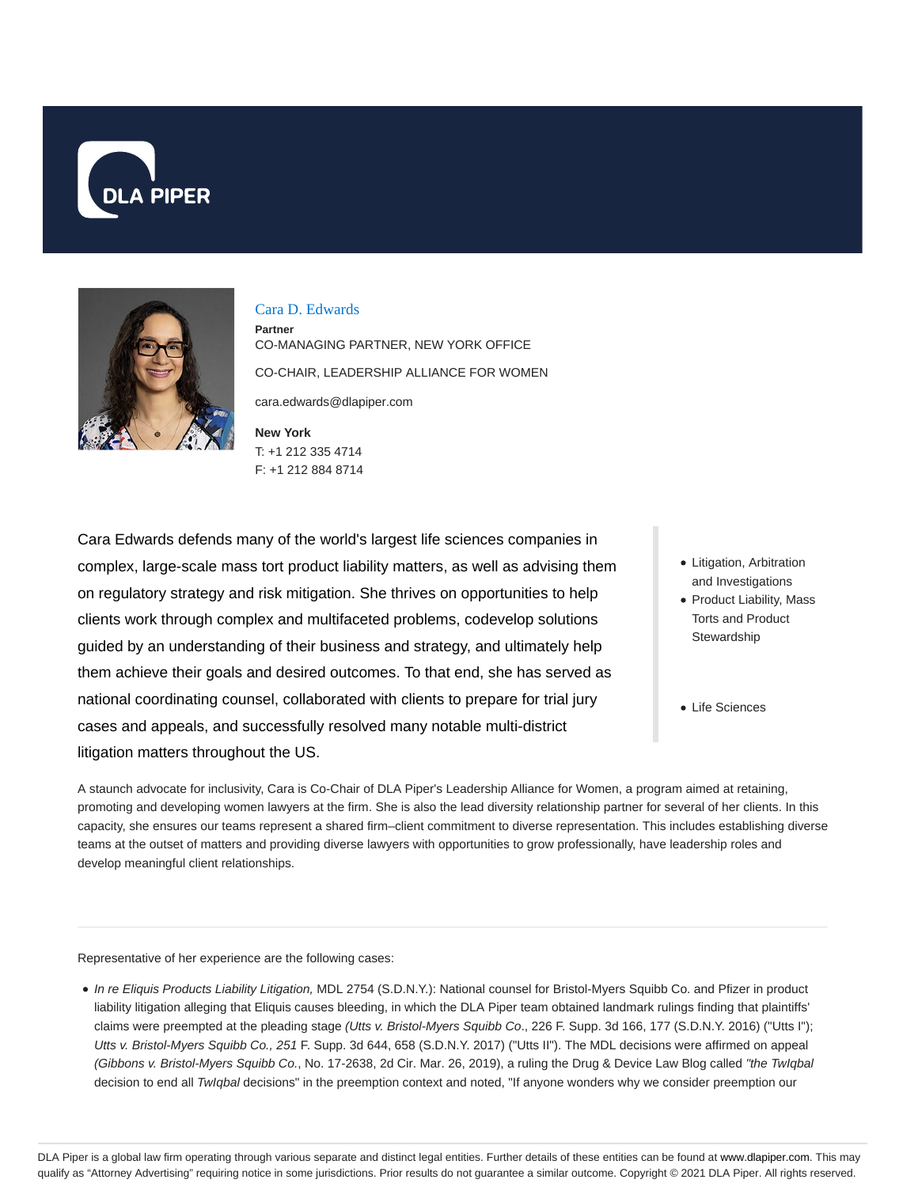



#### Cara D. Edwards

**Partner** CO-MANAGING PARTNER, NEW YORK OFFICE CO-CHAIR, LEADERSHIP ALLIANCE FOR WOMEN cara.edwards@dlapiper.com

**New York** T: +1 212 335 4714 F: +1 212 884 8714

Cara Edwards defends many of the world's largest life sciences companies in complex, large-scale mass tort product liability matters, as well as advising them on regulatory strategy and risk mitigation. She thrives on opportunities to help clients work through complex and multifaceted problems, codevelop solutions guided by an understanding of their business and strategy, and ultimately help them achieve their goals and desired outcomes. To that end, she has served as national coordinating counsel, collaborated with clients to prepare for trial jury cases and appeals, and successfully resolved many notable multi-district litigation matters throughout the US.

- Litigation, Arbitration and Investigations
- Product Liability, Mass Torts and Product **Stewardship**
- Life Sciences

A staunch advocate for inclusivity, Cara is Co-Chair of DLA Piper's Leadership Alliance for Women, a program aimed at retaining, promoting and developing women lawyers at the firm. She is also the lead diversity relationship partner for several of her clients. In this capacity, she ensures our teams represent a shared firm–client commitment to diverse representation. This includes establishing diverse teams at the outset of matters and providing diverse lawyers with opportunities to grow professionally, have leadership roles and develop meaningful client relationships.

Representative of her experience are the following cases:

• In re Eliquis Products Liability Litigation, MDL 2754 (S.D.N.Y.): National counsel for Bristol-Myers Squibb Co. and Pfizer in product liability litigation alleging that Eliquis causes bleeding, in which the DLA Piper team obtained landmark rulings finding that plaintiffs' claims were preempted at the pleading stage (Utts v. Bristol-Myers Squibb Co., 226 F. Supp. 3d 166, 177 (S.D.N.Y. 2016) ("Utts I"); Utts v. Bristol-Myers Squibb Co., 251 F. Supp. 3d 644, 658 (S.D.N.Y. 2017) ("Utts II"). The MDL decisions were affirmed on appeal (Gibbons v. Bristol-Myers Squibb Co., No. 17-2638, 2d Cir. Mar. 26, 2019), a ruling the Drug & Device Law Blog called "the TwIqbal decision to end all TwIqbal decisions" in the preemption context and noted, "If anyone wonders why we consider preemption our

DLA Piper is a global law firm operating through various separate and distinct legal entities. Further details of these entities can be found at www.dlapiper.com. This may qualify as "Attorney Advertising" requiring notice in some jurisdictions. Prior results do not guarantee a similar outcome. Copyright © 2021 DLA Piper. All rights reserved.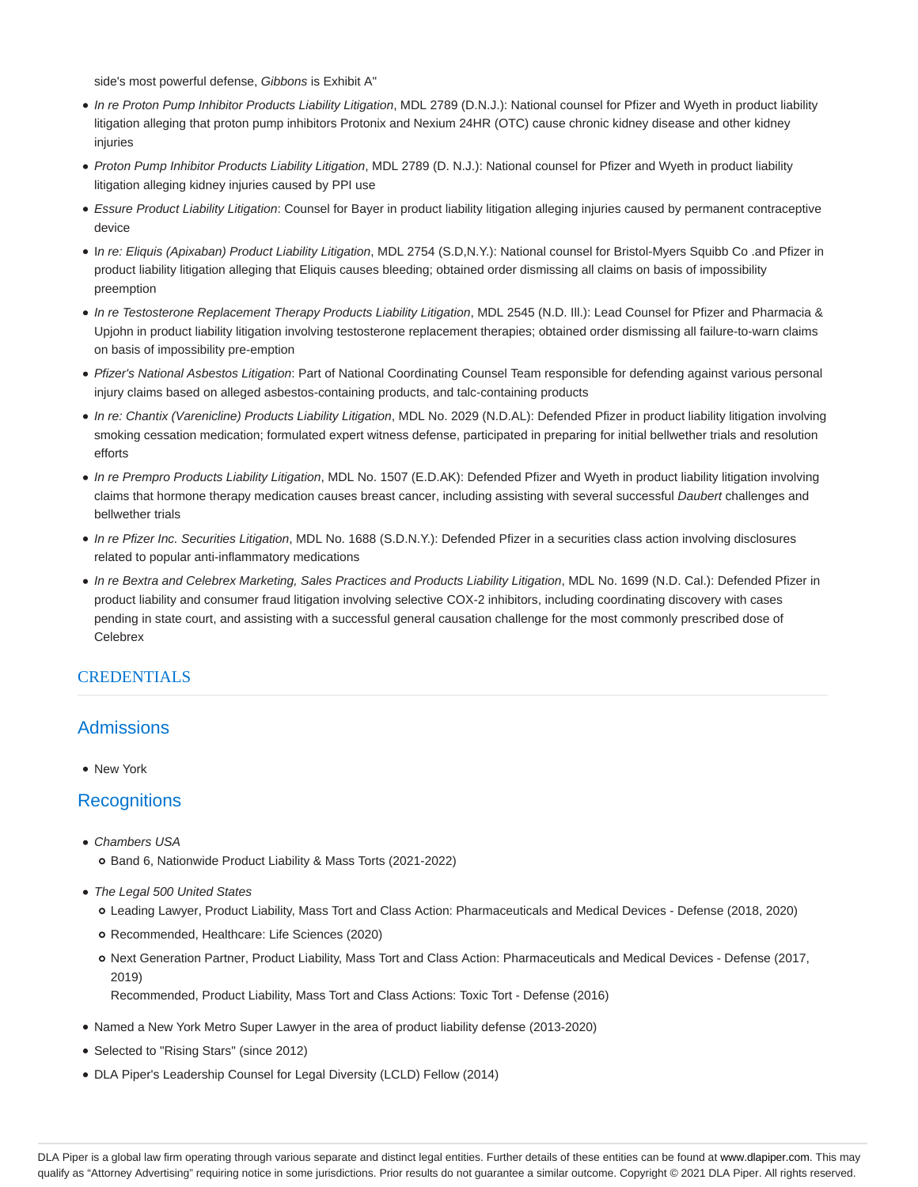side's most powerful defense, Gibbons is Exhibit A"

- In re Proton Pump Inhibitor Products Liability Litigation, MDL 2789 (D.N.J.): National counsel for Pfizer and Wyeth in product liability litigation alleging that proton pump inhibitors Protonix and Nexium 24HR (OTC) cause chronic kidney disease and other kidney injuries
- Proton Pump Inhibitor Products Liability Litigation, MDL 2789 (D. N.J.): National counsel for Pfizer and Wyeth in product liability litigation alleging kidney injuries caused by PPI use
- Essure Product Liability Litigation: Counsel for Bayer in product liability litigation alleging injuries caused by permanent contraceptive device
- In re: Eliquis (Apixaban) Product Liability Litigation, MDL 2754 (S.D,N.Y.): National counsel for Bristol-Myers Squibb Co .and Pfizer in product liability litigation alleging that Eliquis causes bleeding; obtained order dismissing all claims on basis of impossibility preemption
- In re Testosterone Replacement Therapy Products Liability Litigation, MDL 2545 (N.D. Ill.): Lead Counsel for Pfizer and Pharmacia & Upjohn in product liability litigation involving testosterone replacement therapies; obtained order dismissing all failure-to-warn claims on basis of impossibility pre-emption
- Pfizer's National Asbestos Litigation: Part of National Coordinating Counsel Team responsible for defending against various personal injury claims based on alleged asbestos-containing products, and talc-containing products
- In re: Chantix (Varenicline) Products Liability Litigation, MDL No. 2029 (N.D.AL): Defended Pfizer in product liability litigation involving smoking cessation medication; formulated expert witness defense, participated in preparing for initial bellwether trials and resolution efforts
- In re Prempro Products Liability Litigation, MDL No. 1507 (E.D.AK): Defended Pfizer and Wyeth in product liability litigation involving claims that hormone therapy medication causes breast cancer, including assisting with several successful Daubert challenges and bellwether trials
- In re Pfizer Inc. Securities Litigation, MDL No. 1688 (S.D.N.Y.): Defended Pfizer in a securities class action involving disclosures related to popular anti-inflammatory medications
- In re Bextra and Celebrex Marketing, Sales Practices and Products Liability Litigation, MDL No. 1699 (N.D. Cal.): Defended Pfizer in product liability and consumer fraud litigation involving selective COX-2 inhibitors, including coordinating discovery with cases pending in state court, and assisting with a successful general causation challenge for the most commonly prescribed dose of **Celebrex**

#### **CREDENTIALS**

#### **Admissions**

• New York

#### **Recognitions**

- Chambers USA
	- Band 6, Nationwide Product Liability & Mass Torts (2021-2022)
- The Legal 500 United States
	- Leading Lawyer, Product Liability, Mass Tort and Class Action: Pharmaceuticals and Medical Devices Defense (2018, 2020)
	- Recommended, Healthcare: Life Sciences (2020)
	- o Next Generation Partner, Product Liability, Mass Tort and Class Action: Pharmaceuticals and Medical Devices Defense (2017, 2019)

Recommended, Product Liability, Mass Tort and Class Actions: Toxic Tort - Defense (2016)

- Named a New York Metro Super Lawyer in the area of product liability defense (2013-2020)
- Selected to "Rising Stars" (since 2012)
- DLA Piper's Leadership Counsel for Legal Diversity (LCLD) Fellow (2014)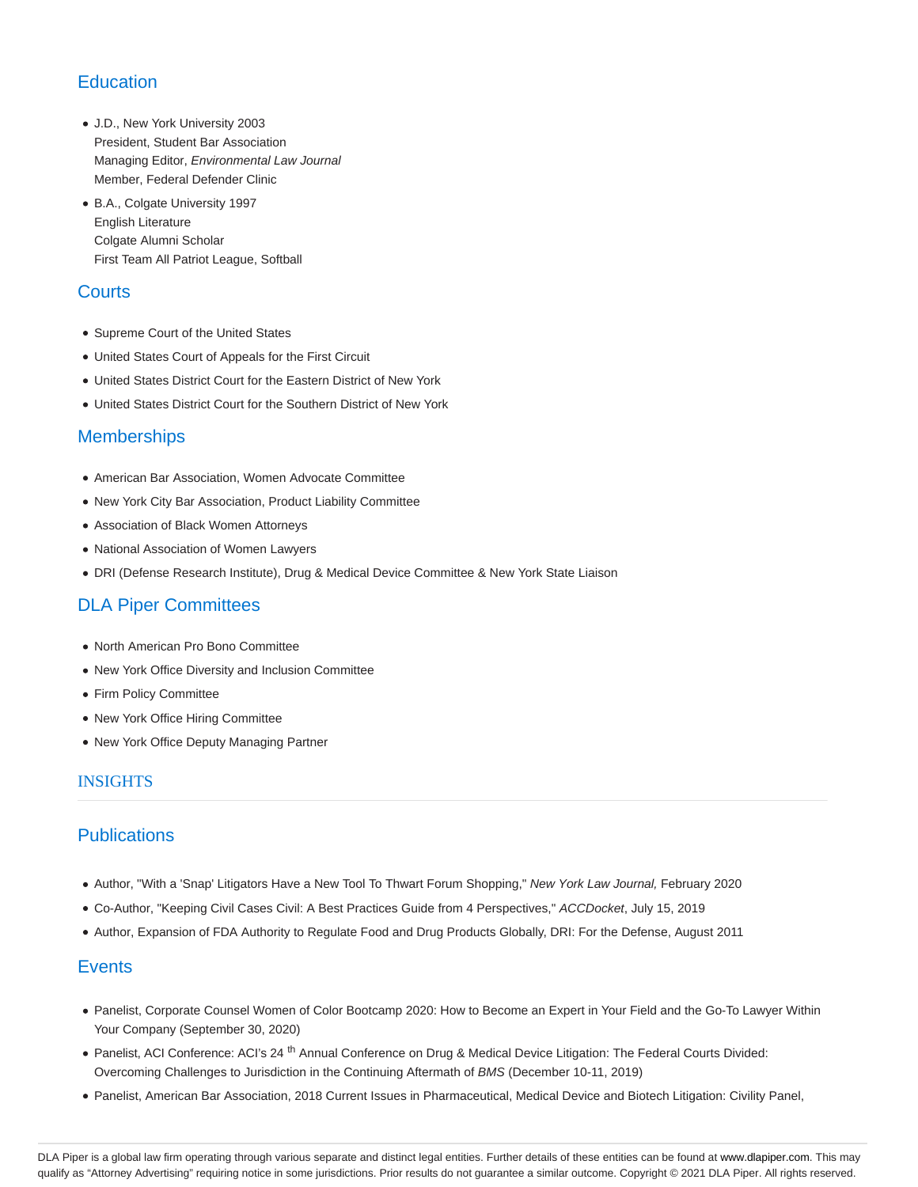# **Education**

- J.D., New York University 2003 President, Student Bar Association Managing Editor, Environmental Law Journal Member, Federal Defender Clinic
- B.A., Colgate University 1997 English Literature Colgate Alumni Scholar First Team All Patriot League, Softball

## **Courts**

- Supreme Court of the United States
- United States Court of Appeals for the First Circuit
- United States District Court for the Eastern District of New York
- United States District Court for the Southern District of New York

## **Memberships**

- American Bar Association, Women Advocate Committee
- New York City Bar Association, Product Liability Committee
- Association of Black Women Attorneys
- National Association of Women Lawyers
- DRI (Defense Research Institute), Drug & Medical Device Committee & New York State Liaison

# DLA Piper Committees

- North American Pro Bono Committee
- New York Office Diversity and Inclusion Committee
- Firm Policy Committee
- New York Office Hiring Committee
- New York Office Deputy Managing Partner

#### INSIGHTS

## **Publications**

- Author, "With a 'Snap' Litigators Have a New Tool To Thwart Forum Shopping," New York Law Journal, February 2020
- Co-Author, "Keeping Civil Cases Civil: A Best Practices Guide from 4 Perspectives," ACCDocket, July 15, 2019
- Author, Expansion of FDA Authority to Regulate Food and Drug Products Globally, DRI: For the Defense, August 2011

## **Events**

- Panelist, Corporate Counsel Women of Color Bootcamp 2020: How to Become an Expert in Your Field and the Go-To Lawyer Within Your Company (September 30, 2020)
- Panelist, ACI Conference: ACI's 24<sup>th</sup> Annual Conference on Drug & Medical Device Litigation: The Federal Courts Divided: Overcoming Challenges to Jurisdiction in the Continuing Aftermath of BMS (December 10-11, 2019)
- Panelist, American Bar Association, 2018 Current Issues in Pharmaceutical, Medical Device and Biotech Litigation: Civility Panel,